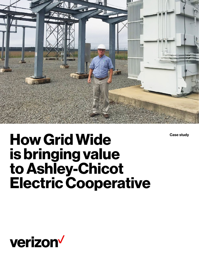

**Case study**

# **How Grid Wide is bringing value to Ashley-Chicot Electric Cooperative**

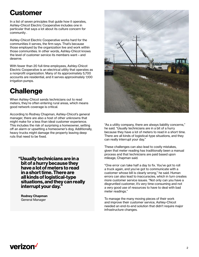### **Customer**

In a list of seven principles that guide how it operates, Ashley-Chicot Electric Cooperative includes one in particular that says a lot about its culture concern for community .

Ashley-Chicot Electric Cooperative works hard for the communities it serves, the firm says. That's because those employed by the organization live and work within those communities. In other words, Ashley-Chicot knows the level of customer service its members want—and deserve.

With fewer than 20 full-time employees, Ashley-Chicot Electric Cooperative is an electrical utility that operates as a nonprofit organization. Many of its approximately 5,700 accounts are residential, and it serves approximately 1,100 irrigation pumps.

# **Challenge**

When Ashley-Chicot sends technicians out to read meters, they're often entering rural areas, which means good network coverage is critical.

According to Rodney Chapman, Ashley-Chicot's general manager, there are also a host of other unknowns that might make for a less than ideal customer experience. This includes the risk of surprising a homeowner, setting off an alarm or upsetting a homeowner's dog. Additionally, heavy trucks might damage the property leaving deep ruts that need to be fixed.

> **"Usually technicians are in a bit of a hurry because they have a lot of meters to read in a short time. There are all kinds of logistical-type situations, and they can really interrupt your day."**

**Rodney Chapman** General Manager



"As a utility company, there are always liability concerns," he said. "Usually technicians are in a bit of a hurry because they have a lot of meters to read in a short time. There are all kinds of logistical-type situations, and they can really interrupt your day."

These challenges can also lead to costly mistakes, given that meter reading has traditionally been a manual process and that technicians are paid based upon mileage, Chapman said.

"One error can take half a day to fix. You've got to roll a truck again, and you've got to communicate with a customer whose bill is clearly wrong," he said. Human errors can also lead to inaccuracies, which in turn creates more customer service issues. "Not only can you have a disgruntled customer, it's very time-consuming and not a very good use of resources to have to deal with bad meter readings."

To manage the many moving pieces of their work and improve their customer service, Ashley-Chicot needed an end-to-end solution that didn't require major infrastructure changes.

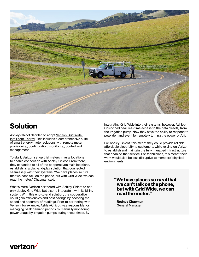

Ashley-Chicot decided to adopt [Verizon Grid Wide:](https://www.verizon.com/business/solutions/industry/energy-utilities/grid-wide-intelligent-energy/)  [Intelligent Energy](https://www.verizon.com/business/solutions/industry/energy-utilities/grid-wide-intelligent-energy/). This includes a comprehensive suite of smart energy meter solutions with remote meter provisioning, configuration, monitoring, control and management.

To start, Verizon set up trial meters in rural locations to enable connection with Ashley-Chicot. From there, they expanded to all of the cooperative's main locations, establishing a plug-and-play solution that connected seamlessly with their systems. "We have places so rural that we can't talk on the phone, but with Grid Wide, we can read the meter," Chapman said.

What's more, Verizon partnered with Ashley-Chicot to not only deploy Grid Wide but also to integrate it with its billing system. With this end-to-end solution, the cooperative could gain efficiencies and cost savings by boosting the speed and accuracy of readings. Prior to partnering with Verizon, for example, Ashley-Chicot was responsible for managing peak demand periods by manually monitoring power usage by irrigation pumps during these times. By

**Solution**<br> **Solution**<br>
Chicot had near real-time access to the data directly from the irrigation pump. Now they have the ability to respond to peak demand event by remotely turning the power on/off.

> For Ashley-Chicot, this meant they could provide reliable, affordable electricity to customers, while relying on Verizon to establish and maintain the fully managed infrastructure that enabled that service. For technicians, this meant their work would also be less disruptive to members' physical environments.

> > **"We have places so rural that we can't talk on the phone, but with Grid Wide, we can read the meter."**

**Rodney Chapman** General Manager